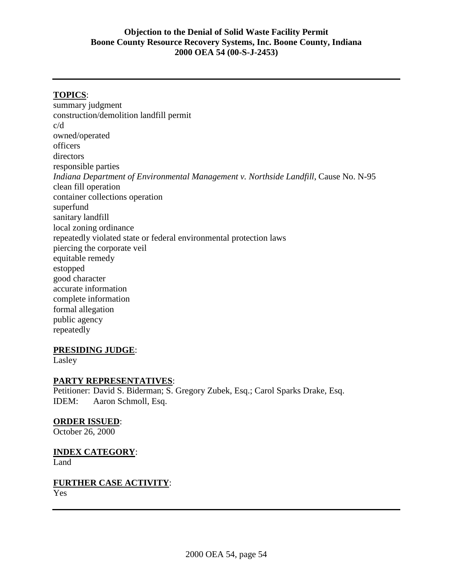## **TOPICS**:

summary judgment construction/demolition landfill permit c/d owned/operated officers directors responsible parties *Indiana Department of Environmental Management v. Northside Landfill*, Cause No. N-95 clean fill operation container collections operation superfund sanitary landfill local zoning ordinance repeatedly violated state or federal environmental protection laws piercing the corporate veil equitable remedy estopped good character accurate information complete information formal allegation public agency repeatedly

#### **PRESIDING JUDGE**:

Lasley

#### **PARTY REPRESENTATIVES**:

Petitioner: David S. Biderman; S. Gregory Zubek, Esq.; Carol Sparks Drake, Esq. IDEM: Aaron Schmoll, Esq.

#### **ORDER ISSUED**:

October 26, 2000

# **INDEX CATEGORY**:

Land

# **FURTHER CASE ACTIVITY**:

Yes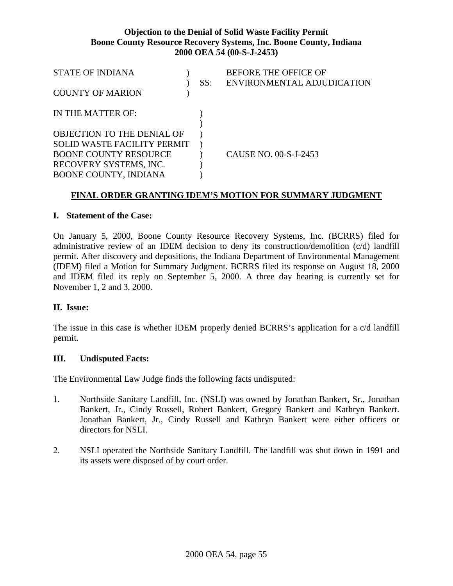| <b>STATE OF INDIANA</b>           | SS: | <b>BEFORE THE OFFICE OF</b><br>ENVIRONMENTAL ADJUDICATION |
|-----------------------------------|-----|-----------------------------------------------------------|
| <b>COUNTY OF MARION</b>           |     |                                                           |
| IN THE MATTER OF:                 |     |                                                           |
| <b>OBJECTION TO THE DENIAL OF</b> |     |                                                           |
| SOLID WASTE FACILITY PERMIT       |     |                                                           |
| <b>BOONE COUNTY RESOURCE</b>      |     | CAUSE NO. 00-S-J-2453                                     |
| RECOVERY SYSTEMS, INC.            |     |                                                           |
| <b>BOONE COUNTY, INDIANA</b>      |     |                                                           |

## **FINAL ORDER GRANTING IDEM'S MOTION FOR SUMMARY JUDGMENT**

#### **I. Statement of the Case:**

On January 5, 2000, Boone County Resource Recovery Systems, Inc. (BCRRS) filed for administrative review of an IDEM decision to deny its construction/demolition (c/d) landfill permit. After discovery and depositions, the Indiana Department of Environmental Management (IDEM) filed a Motion for Summary Judgment. BCRRS filed its response on August 18, 2000 and IDEM filed its reply on September 5, 2000. A three day hearing is currently set for November 1, 2 and 3, 2000.

#### **II. Issue:**

The issue in this case is whether IDEM properly denied BCRRS's application for a c/d landfill permit.

#### **III. Undisputed Facts:**

The Environmental Law Judge finds the following facts undisputed:

- 1. Northside Sanitary Landfill, Inc. (NSLI) was owned by Jonathan Bankert, Sr., Jonathan Bankert, Jr., Cindy Russell, Robert Bankert, Gregory Bankert and Kathryn Bankert. Jonathan Bankert, Jr., Cindy Russell and Kathryn Bankert were either officers or directors for NSLI.
- 2. NSLI operated the Northside Sanitary Landfill. The landfill was shut down in 1991 and its assets were disposed of by court order.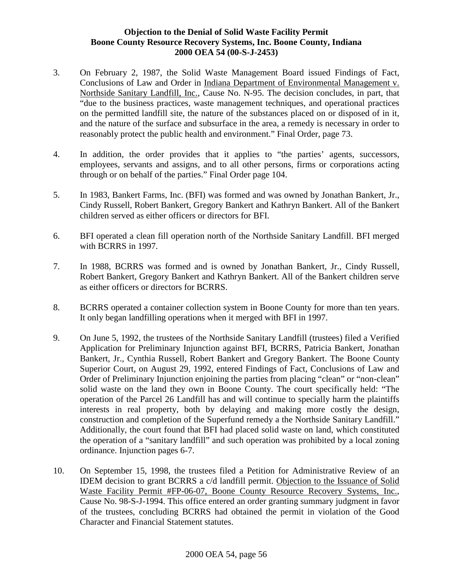- 3. On February 2, 1987, the Solid Waste Management Board issued Findings of Fact, Conclusions of Law and Order in Indiana Department of Environmental Management v. Northside Sanitary Landfill, Inc., Cause No. N-95. The decision concludes, in part, that "due to the business practices, waste management techniques, and operational practices on the permitted landfill site, the nature of the substances placed on or disposed of in it, and the nature of the surface and subsurface in the area, a remedy is necessary in order to reasonably protect the public health and environment." Final Order, page 73.
- 4. In addition, the order provides that it applies to "the parties' agents, successors, employees, servants and assigns, and to all other persons, firms or corporations acting through or on behalf of the parties." Final Order page 104.
- 5. In 1983, Bankert Farms, Inc. (BFI) was formed and was owned by Jonathan Bankert, Jr., Cindy Russell, Robert Bankert, Gregory Bankert and Kathryn Bankert. All of the Bankert children served as either officers or directors for BFI.
- 6. BFI operated a clean fill operation north of the Northside Sanitary Landfill. BFI merged with BCRRS in 1997.
- 7. In 1988, BCRRS was formed and is owned by Jonathan Bankert, Jr., Cindy Russell, Robert Bankert, Gregory Bankert and Kathryn Bankert. All of the Bankert children serve as either officers or directors for BCRRS.
- 8. BCRRS operated a container collection system in Boone County for more than ten years. It only began landfilling operations when it merged with BFI in 1997.
- 9. On June 5, 1992, the trustees of the Northside Sanitary Landfill (trustees) filed a Verified Application for Preliminary Injunction against BFI, BCRRS, Patricia Bankert, Jonathan Bankert, Jr., Cynthia Russell, Robert Bankert and Gregory Bankert. The Boone County Superior Court, on August 29, 1992, entered Findings of Fact, Conclusions of Law and Order of Preliminary Injunction enjoining the parties from placing "clean" or "non-clean" solid waste on the land they own in Boone County. The court specifically held: "The operation of the Parcel 26 Landfill has and will continue to specially harm the plaintiffs interests in real property, both by delaying and making more costly the design, construction and completion of the Superfund remedy a the Northside Sanitary Landfill." Additionally, the court found that BFI had placed solid waste on land, which constituted the operation of a "sanitary landfill" and such operation was prohibited by a local zoning ordinance. Injunction pages 6-7.
- 10. On September 15, 1998, the trustees filed a Petition for Administrative Review of an IDEM decision to grant BCRRS a c/d landfill permit. Objection to the Issuance of Solid Waste Facility Permit #FP-06-07, Boone County Resource Recovery Systems, Inc., Cause No. 98-S-J-1994. This office entered an order granting summary judgment in favor of the trustees, concluding BCRRS had obtained the permit in violation of the Good Character and Financial Statement statutes.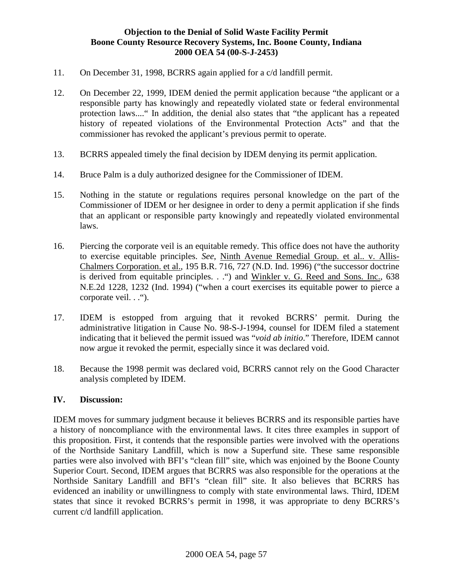- 11. On December 31, 1998, BCRRS again applied for a c/d landfill permit.
- 12. On December 22, 1999, IDEM denied the permit application because "the applicant or a responsible party has knowingly and repeatedly violated state or federal environmental protection laws...." In addition, the denial also states that "the applicant has a repeated history of repeated violations of the Environmental Protection Acts" and that the commissioner has revoked the applicant's previous permit to operate.
- 13. BCRRS appealed timely the final decision by IDEM denying its permit application.
- 14. Bruce Palm is a duly authorized designee for the Commissioner of IDEM.
- 15. Nothing in the statute or regulations requires personal knowledge on the part of the Commissioner of IDEM or her designee in order to deny a permit application if she finds that an applicant or responsible party knowingly and repeatedly violated environmental laws.
- 16. Piercing the corporate veil is an equitable remedy. This office does not have the authority to exercise equitable principles. *See*, Ninth Avenue Remedial Group. et al.. v. Allis-Chalmers Corporation. et al., 195 B.R. 716, 727 (N.D. Ind. 1996) ("the successor doctrine is derived from equitable principles. . . ") and Winkler v. G. Reed and Sons. Inc., 638 N.E.2d 1228, 1232 (Ind. 1994) ("when a court exercises its equitable power to pierce a corporate veil. . . ...
- 17. IDEM is estopped from arguing that it revoked BCRRS' permit. During the administrative litigation in Cause No. 98-S-J-1994, counsel for IDEM filed a statement indicating that it believed the permit issued was "*void ab initio*." Therefore, IDEM cannot now argue it revoked the permit, especially since it was declared void.
- 18. Because the 1998 permit was declared void, BCRRS cannot rely on the Good Character analysis completed by IDEM.

#### **IV. Discussion:**

IDEM moves for summary judgment because it believes BCRRS and its responsible parties have a history of noncompliance with the environmental laws. It cites three examples in support of this proposition. First, it contends that the responsible parties were involved with the operations of the Northside Sanitary Landfill, which is now a Superfund site. These same responsible parties were also involved with BFI's "clean fill" site, which was enjoined by the Boone County Superior Court. Second, IDEM argues that BCRRS was also responsible for the operations at the Northside Sanitary Landfill and BFI's "clean fill" site. It also believes that BCRRS has evidenced an inability or unwillingness to comply with state environmental laws. Third, IDEM states that since it revoked BCRRS's permit in 1998, it was appropriate to deny BCRRS's current c/d landfill application.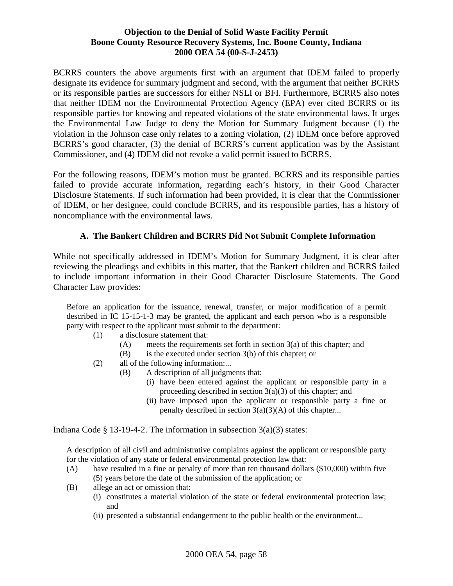BCRRS counters the above arguments first with an argument that IDEM failed to properly designate its evidence for summary judgment and second, with the argument that neither BCRRS or its responsible parties are successors for either NSLI or BFI. Furthermore, BCRRS also notes that neither IDEM nor the Environmental Protection Agency (EPA) ever cited BCRRS or its responsible parties for knowing and repeated violations of the state environmental laws. It urges the Environmental Law Judge to deny the Motion for Summary Judgment because (1) the violation in the Johnson case only relates to a zoning violation, (2) IDEM once before approved BCRRS's good character, (3) the denial of BCRRS's current application was by the Assistant Commissioner, and (4) IDEM did not revoke a valid permit issued to BCRRS.

For the following reasons, IDEM's motion must be granted. BCRRS and its responsible parties failed to provide accurate information, regarding each's history, in their Good Character Disclosure Statements. If such information had been provided, it is clear that the Commissioner of IDEM, or her designee, could conclude BCRRS, and its responsible parties, has a history of noncompliance with the environmental laws.

# **A. The Bankert Children and BCRRS Did Not Submit Complete Information**

While not specifically addressed in IDEM's Motion for Summary Judgment, it is clear after reviewing the pleadings and exhibits in this matter, that the Bankert children and BCRRS failed to include important information in their Good Character Disclosure Statements. The Good Character Law provides:

Before an application for the issuance, renewal, transfer, or major modification of a permit described in IC 15-15-1-3 may be granted, the applicant and each person who is a responsible party with respect to the applicant must submit to the department:

- (1) a disclosure statement that:
	- (A) meets the requirements set forth in section 3(a) of this chapter; and
	- (B) is the executed under section 3(b) of this chapter; or
- (2) all of the following information:...
	- (B) A description of all judgments that:
		- (i) have been entered against the applicant or responsible party in a proceeding described in section  $3(a)(3)$  of this chapter; and
		- (ii) have imposed upon the applicant or responsible party a fine or penalty described in section  $3(a)(3)(A)$  of this chapter...

Indiana Code § 13-19-4-2. The information in subsection  $3(a)(3)$  states:

A description of all civil and administrative complaints against the applicant or responsible party for the violation of any state or federal environmental protection law that:

- (A) have resulted in a fine or penalty of more than ten thousand dollars (\$10,000) within five (5) years before the date of the submission of the application; or
- (B) allege an act or omission that:
	- (i) constitutes a material violation of the state or federal environmental protection law; and
	- (ii) presented a substantial endangerment to the public health or the environment...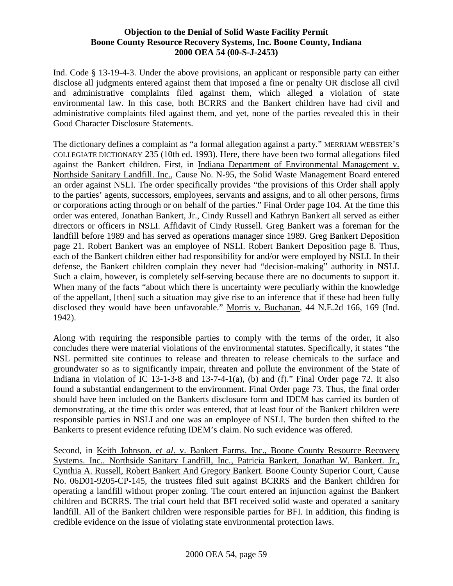Ind. Code § 13-19-4-3. Under the above provisions, an applicant or responsible party can either disclose all judgments entered against them that imposed a fine or penalty OR disclose all civil and administrative complaints filed against them, which alleged a violation of state environmental law. In this case, both BCRRS and the Bankert children have had civil and administrative complaints filed against them, and yet, none of the parties revealed this in their Good Character Disclosure Statements.

The dictionary defines a complaint as "a formal allegation against a party." MERRIAM WEBSTER'S COLLEGIATE DICTIONARY 235 (10th ed. 1993). Here, there have been two formal allegations filed against the Bankert children. First, in Indiana Department of Environmental Management v. Northside Sanitary Landfill. Inc., Cause No. N-95, the Solid Waste Management Board entered an order against NSLI. The order specifically provides "the provisions of this Order shall apply to the parties' agents, successors, employees, servants and assigns, and to all other persons, firms or corporations acting through or on behalf of the parties." Final Order page 104. At the time this order was entered, Jonathan Bankert, Jr., Cindy Russell and Kathryn Bankert all served as either directors or officers in NSLI. Affidavit of Cindy Russell. Greg Bankert was a foreman for the landfill before 1989 and has served as operations manager since 1989. Greg Bankert Deposition page 21. Robert Bankert was an employee of NSLI. Robert Bankert Deposition page 8. Thus, each of the Bankert children either had responsibility for and/or were employed by NSLI. In their defense, the Bankert children complain they never had "decision-making" authority in NSLI. Such a claim, however, is completely self-serving because there are no documents to support it. When many of the facts "about which there is uncertainty were peculiarly within the knowledge of the appellant, [then] such a situation may give rise to an inference that if these had been fully disclosed they would have been unfavorable." Morris v. Buchanan, 44 N.E.2d 166, 169 (Ind. 1942).

Along with requiring the responsible parties to comply with the terms of the order, it also concludes there were material violations of the environmental statutes. Specifically, it states "the NSL permitted site continues to release and threaten to release chemicals to the surface and groundwater so as to significantly impair, threaten and pollute the environment of the State of Indiana in violation of IC 13-1-3-8 and 13-7-4-1(a), (b) and (f)." Final Order page 72. It also found a substantial endangerment to the environment. Final Order page 73. Thus, the final order should have been included on the Bankerts disclosure form and IDEM has carried its burden of demonstrating, at the time this order was entered, that at least four of the Bankert children were responsible parties in NSLI and one was an employee of NSLI. The burden then shifted to the Bankerts to present evidence refuting IDEM's claim. No such evidence was offered.

Second, in Keith Johnson. e*t al*. v. Bankert Farms. Inc., Boone County Resource Recovery Systems. Inc.. Northside Sanitary Landfill, Inc., Patricia Bankert, Jonathan W. Bankert. Jr., Cynthia A. Russell, Robert Bankert And Gregory Bankert. Boone County Superior Court, Cause No. 06D01-9205-CP-145, the trustees filed suit against BCRRS and the Bankert children for operating a landfill without proper zoning. The court entered an injunction against the Bankert children and BCRRS. The trial court held that BFI received solid waste and operated a sanitary landfill. All of the Bankert children were responsible parties for BFI. In addition, this finding is credible evidence on the issue of violating state environmental protection laws.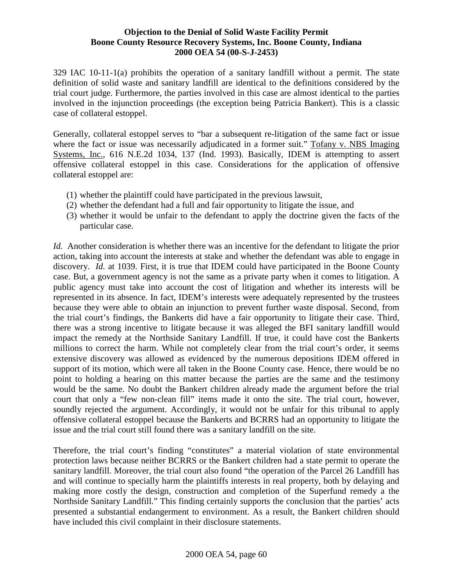329 IAC 10-11-1(a) prohibits the operation of a sanitary landfill without a permit. The state definition of solid waste and sanitary landfill are identical to the definitions considered by the trial court judge. Furthermore, the parties involved in this case are almost identical to the parties involved in the injunction proceedings (the exception being Patricia Bankert). This is a classic case of collateral estoppel.

Generally, collateral estoppel serves to "bar a subsequent re-litigation of the same fact or issue where the fact or issue was necessarily adjudicated in a former suit." Tofany v. NBS Imaging Systems, Inc., 616 N.E.2d 1034, 137 (Ind. 1993). Basically, IDEM is attempting to assert offensive collateral estoppel in this case. Considerations for the application of offensive collateral estoppel are:

- (1) whether the plaintiff could have participated in the previous lawsuit,
- (2) whether the defendant had a full and fair opportunity to litigate the issue, and
- (3) whether it would be unfair to the defendant to apply the doctrine given the facts of the particular case.

*Id.* Another consideration is whether there was an incentive for the defendant to litigate the prior action, taking into account the interests at stake and whether the defendant was able to engage in discovery. *Id.* at 1039. First, it is true that IDEM could have participated in the Boone County case. But, a government agency is not the same as a private party when it comes to litigation. A public agency must take into account the cost of litigation and whether its interests will be represented in its absence. In fact, IDEM's interests were adequately represented by the trustees because they were able to obtain an injunction to prevent further waste disposal. Second, from the trial court's findings, the Bankerts did have a fair opportunity to litigate their case. Third, there was a strong incentive to litigate because it was alleged the BFI sanitary landfill would impact the remedy at the Northside Sanitary Landfill. If true, it could have cost the Bankerts millions to correct the harm. While not completely clear from the trial court's order, it seems extensive discovery was allowed as evidenced by the numerous depositions IDEM offered in support of its motion, which were all taken in the Boone County case. Hence, there would be no point to holding a hearing on this matter because the parties are the same and the testimony would be the same. No doubt the Bankert children already made the argument before the trial court that only a "few non-clean fill" items made it onto the site. The trial court, however, soundly rejected the argument. Accordingly, it would not be unfair for this tribunal to apply offensive collateral estoppel because the Bankerts and BCRRS had an opportunity to litigate the issue and the trial court still found there was a sanitary landfill on the site.

Therefore, the trial court's finding "constitutes" a material violation of state environmental protection laws because neither BCRRS or the Bankert children had a state permit to operate the sanitary landfill. Moreover, the trial court also found "the operation of the Parcel 26 Landfill has and will continue to specially harm the plaintiffs interests in real property, both by delaying and making more costly the design, construction and completion of the Superfund remedy a the Northside Sanitary Landfill." This finding certainly supports the conclusion that the parties' acts presented a substantial endangerment to environment. As a result, the Bankert children should have included this civil complaint in their disclosure statements.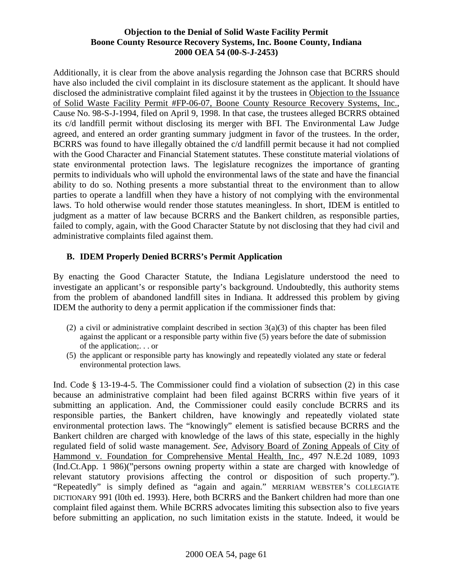Additionally, it is clear from the above analysis regarding the Johnson case that BCRRS should have also included the civil complaint in its disclosure statement as the applicant. It should have disclosed the administrative complaint filed against it by the trustees in Objection to the Issuance of Solid Waste Facility Permit #FP-06-07, Boone County Resource Recovery Systems, Inc., Cause No. 98-S-J-1994, filed on April 9, 1998. In that case, the trustees alleged BCRRS obtained its c/d landfill permit without disclosing its merger with BFI. The Environmental Law Judge agreed, and entered an order granting summary judgment in favor of the trustees. In the order, BCRRS was found to have illegally obtained the c/d landfill permit because it had not complied with the Good Character and Financial Statement statutes. These constitute material violations of state environmental protection laws. The legislature recognizes the importance of granting permits to individuals who will uphold the environmental laws of the state and have the financial ability to do so. Nothing presents a more substantial threat to the environment than to allow parties to operate a landfill when they have a history of not complying with the environmental laws. To hold otherwise would render those statutes meaningless. In short, IDEM is entitled to judgment as a matter of law because BCRRS and the Bankert children, as responsible parties, failed to comply, again, with the Good Character Statute by not disclosing that they had civil and administrative complaints filed against them.

# **B. IDEM Properly Denied BCRRS's Permit Application**

By enacting the Good Character Statute, the Indiana Legislature understood the need to investigate an applicant's or responsible party's background. Undoubtedly, this authority stems from the problem of abandoned landfill sites in Indiana. It addressed this problem by giving IDEM the authority to deny a permit application if the commissioner finds that:

- (2) a civil or administrative complaint described in section  $3(a)(3)$  of this chapter has been filed against the applicant or a responsible party within five (5) years before the date of submission of the application;. . . or
- (5) the applicant or responsible party has knowingly and repeatedly violated any state or federal environmental protection laws.

Ind. Code § 13-19-4-5. The Commissioner could find a violation of subsection (2) in this case because an administrative complaint had been filed against BCRRS within five years of it submitting an application. And, the Commissioner could easily conclude BCRRS and its responsible parties, the Bankert children, have knowingly and repeatedly violated state environmental protection laws. The "knowingly" element is satisfied because BCRRS and the Bankert children are charged with knowledge of the laws of this state, especially in the highly regulated field of solid waste management. *See*, Advisory Board of Zoning Appeals of City of Hammond v. Foundation for Comprehensive Mental Health, Inc., 497 N.E.2d 1089, 1093 (Ind.Ct.App. 1 986)("persons owning property within a state are charged with knowledge of relevant statutory provisions affecting the control or disposition of such property."). "Repeatedly" is simply defined as "again and again." MERRIAM WEBSTER'S COLLEGIATE DICTIONARY 991 (l0th ed. 1993). Here, both BCRRS and the Bankert children had more than one complaint filed against them. While BCRRS advocates limiting this subsection also to five years before submitting an application, no such limitation exists in the statute. Indeed, it would be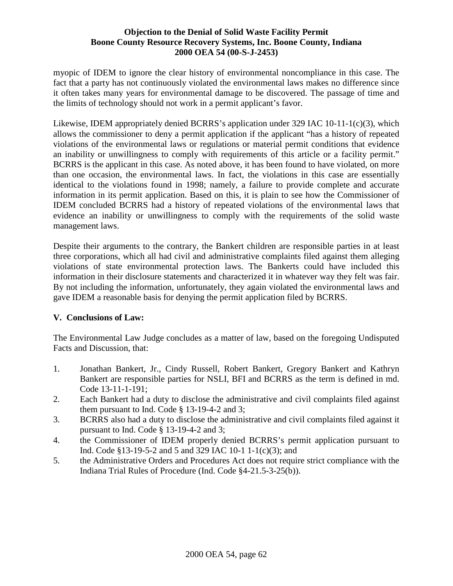myopic of IDEM to ignore the clear history of environmental noncompliance in this case. The fact that a party has not continuously violated the environmental laws makes no difference since it often takes many years for environmental damage to be discovered. The passage of time and the limits of technology should not work in a permit applicant's favor.

Likewise, IDEM appropriately denied BCRRS's application under 329 IAC 10-11-1(c)(3), which allows the commissioner to deny a permit application if the applicant "has a history of repeated violations of the environmental laws or regulations or material permit conditions that evidence an inability or unwillingness to comply with requirements of this article or a facility permit." BCRRS is the applicant in this case. As noted above, it has been found to have violated, on more than one occasion, the environmental laws. In fact, the violations in this case are essentially identical to the violations found in 1998; namely, a failure to provide complete and accurate information in its permit application. Based on this, it is plain to see how the Commissioner of IDEM concluded BCRRS had a history of repeated violations of the environmental laws that evidence an inability or unwillingness to comply with the requirements of the solid waste management laws.

Despite their arguments to the contrary, the Bankert children are responsible parties in at least three corporations, which all had civil and administrative complaints filed against them alleging violations of state environmental protection laws. The Bankerts could have included this information in their disclosure statements and characterized it in whatever way they felt was fair. By not including the information, unfortunately, they again violated the environmental laws and gave IDEM a reasonable basis for denying the permit application filed by BCRRS.

# **V. Conclusions of Law:**

The Environmental Law Judge concludes as a matter of law, based on the foregoing Undisputed Facts and Discussion, that:

- 1. Jonathan Bankert, Jr., Cindy Russell, Robert Bankert, Gregory Bankert and Kathryn Bankert are responsible parties for NSLI, BFI and BCRRS as the term is defined in md. Code 13-11-1-191;
- 2. Each Bankert had a duty to disclose the administrative and civil complaints filed against them pursuant to Ind. Code § 13-19-4-2 and 3;
- 3. BCRRS also had a duty to disclose the administrative and civil complaints filed against it pursuant to Ind. Code § 13-19-4-2 and 3;
- 4. the Commissioner of IDEM properly denied BCRRS's permit application pursuant to Ind. Code §13-19-5-2 and 5 and 329 IAC 10-1 1-1(c)(3); and
- 5. the Administrative Orders and Procedures Act does not require strict compliance with the Indiana Trial Rules of Procedure (Ind. Code §4-21.5-3-25(b)).